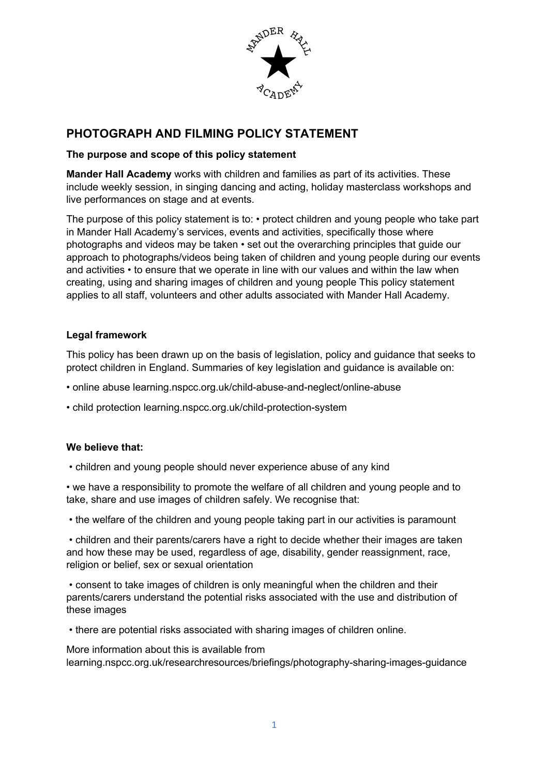

# **PHOTOGRAPH AND FILMING POLICY STATEMENT**

## **The purpose and scope of this policy statement**

**Mander Hall Academy** works with children and families as part of its activities. These include weekly session, in singing dancing and acting, holiday masterclass workshops and live performances on stage and at events.

The purpose of this policy statement is to: • protect children and young people who take part in Mander Hall Academy's services, events and activities, specifically those where photographs and videos may be taken • set out the overarching principles that guide our approach to photographs/videos being taken of children and young people during our events and activities • to ensure that we operate in line with our values and within the law when creating, using and sharing images of children and young people This policy statement applies to all staff, volunteers and other adults associated with Mander Hall Academy.

## **Legal framework**

This policy has been drawn up on the basis of legislation, policy and guidance that seeks to protect children in England. Summaries of key legislation and guidance is available on:

- online abuse learning.nspcc.org.uk/child-abuse-and-neglect/online-abuse
- child protection learning.nspcc.org.uk/child-protection-system

## **We believe that:**

• children and young people should never experience abuse of any kind

• we have a responsibility to promote the welfare of all children and young people and to take, share and use images of children safely. We recognise that:

• the welfare of the children and young people taking part in our activities is paramount

• children and their parents/carers have a right to decide whether their images are taken and how these may be used, regardless of age, disability, gender reassignment, race, religion or belief, sex or sexual orientation

• consent to take images of children is only meaningful when the children and their parents/carers understand the potential risks associated with the use and distribution of these images

• there are potential risks associated with sharing images of children online.

More information about this is available from learning.nspcc.org.uk/researchresources/briefings/photography-sharing-images-guidance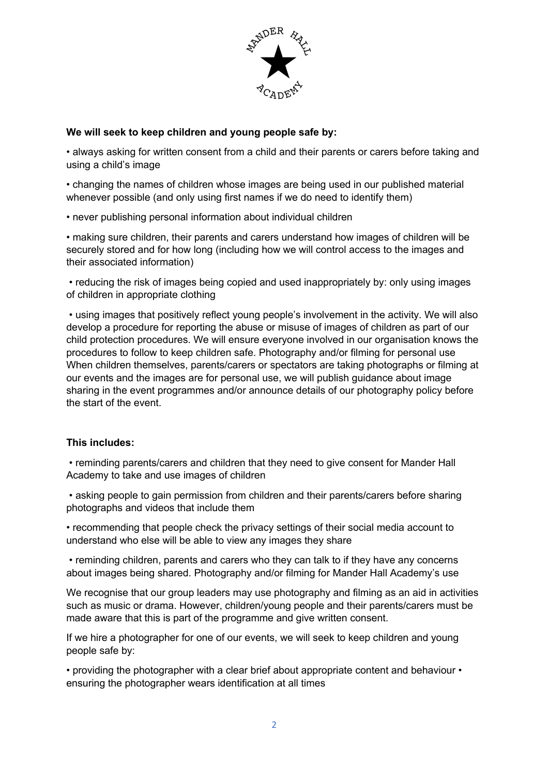

## **We will seek to keep children and young people safe by:**

• always asking for written consent from a child and their parents or carers before taking and using a child's image

• changing the names of children whose images are being used in our published material whenever possible (and only using first names if we do need to identify them)

• never publishing personal information about individual children

• making sure children, their parents and carers understand how images of children will be securely stored and for how long (including how we will control access to the images and their associated information)

• reducing the risk of images being copied and used inappropriately by: only using images of children in appropriate clothing

• using images that positively reflect young people's involvement in the activity. We will also develop a procedure for reporting the abuse or misuse of images of children as part of our child protection procedures. We will ensure everyone involved in our organisation knows the procedures to follow to keep children safe. Photography and/or filming for personal use When children themselves, parents/carers or spectators are taking photographs or filming at our events and the images are for personal use, we will publish guidance about image sharing in the event programmes and/or announce details of our photography policy before the start of the event.

## **This includes:**

• reminding parents/carers and children that they need to give consent for Mander Hall Academy to take and use images of children

• asking people to gain permission from children and their parents/carers before sharing photographs and videos that include them

• recommending that people check the privacy settings of their social media account to understand who else will be able to view any images they share

• reminding children, parents and carers who they can talk to if they have any concerns about images being shared. Photography and/or filming for Mander Hall Academy's use

We recognise that our group leaders may use photography and filming as an aid in activities such as music or drama. However, children/young people and their parents/carers must be made aware that this is part of the programme and give written consent.

If we hire a photographer for one of our events, we will seek to keep children and young people safe by:

• providing the photographer with a clear brief about appropriate content and behaviour • ensuring the photographer wears identification at all times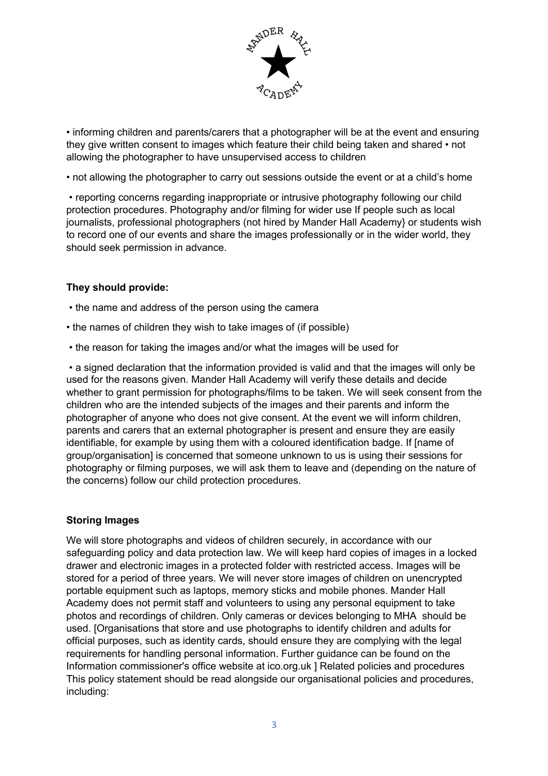

• informing children and parents/carers that a photographer will be at the event and ensuring they give written consent to images which feature their child being taken and shared • not allowing the photographer to have unsupervised access to children

• not allowing the photographer to carry out sessions outside the event or at a child's home

• reporting concerns regarding inappropriate or intrusive photography following our child protection procedures. Photography and/or filming for wider use If people such as local journalists, professional photographers (not hired by Mander Hall Academy} or students wish to record one of our events and share the images professionally or in the wider world, they should seek permission in advance.

## **They should provide:**

- the name and address of the person using the camera
- the names of children they wish to take images of (if possible)
- the reason for taking the images and/or what the images will be used for

• a signed declaration that the information provided is valid and that the images will only be used for the reasons given. Mander Hall Academy will verify these details and decide whether to grant permission for photographs/films to be taken. We will seek consent from the children who are the intended subjects of the images and their parents and inform the photographer of anyone who does not give consent. At the event we will inform children, parents and carers that an external photographer is present and ensure they are easily identifiable, for example by using them with a coloured identification badge. If [name of group/organisation] is concerned that someone unknown to us is using their sessions for photography or filming purposes, we will ask them to leave and (depending on the nature of the concerns) follow our child protection procedures.

## **Storing Images**

We will store photographs and videos of children securely, in accordance with our safeguarding policy and data protection law. We will keep hard copies of images in a locked drawer and electronic images in a protected folder with restricted access. Images will be stored for a period of three years. We will never store images of children on unencrypted portable equipment such as laptops, memory sticks and mobile phones. Mander Hall Academy does not permit staff and volunteers to using any personal equipment to take photos and recordings of children. Only cameras or devices belonging to MHA should be used. [Organisations that store and use photographs to identify children and adults for official purposes, such as identity cards, should ensure they are complying with the legal requirements for handling personal information. Further guidance can be found on the Information commissioner's office website at ico.org.uk ] Related policies and procedures This policy statement should be read alongside our organisational policies and procedures, including: